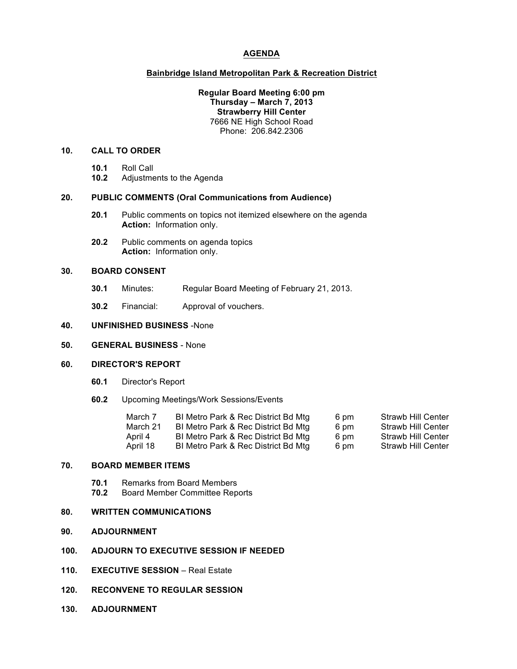## **AGENDA**

#### **Bainbridge Island Metropolitan Park & Recreation District**

### **Regular Board Meeting 6:00 pm Thursday – March 7, 2013 Strawberry Hill Center** 7666 NE High School Road Phone: 206.842.2306

## **10. CALL TO ORDER**

- **10.1** Roll Call
- **10.2** Adjustments to the Agenda

#### **20. PUBLIC COMMENTS (Oral Communications from Audience)**

- **20.1** Public comments on topics not itemized elsewhere on the agenda **Action:** Information only.
- **20.2** Public comments on agenda topics **Action:** Information only.

# **30. BOARD CONSENT**

- **30.1** Minutes: Regular Board Meeting of February 21, 2013.
- **30.2** Financial: Approval of vouchers.

## **40. UNFINISHED BUSINESS** -None

# **50. GENERAL BUSINESS** - None

# **60. DIRECTOR'S REPORT**

- **60.1** Director's Report
- **60.2** Upcoming Meetings/Work Sessions/Events

| March 7<br>March 21 | BI Metro Park & Rec District Bd Mtg<br>BI Metro Park & Rec District Bd Mtg | 6 pm<br>6 pm | <b>Strawb Hill Center</b><br><b>Strawb Hill Center</b> |
|---------------------|----------------------------------------------------------------------------|--------------|--------------------------------------------------------|
| April 4             | BI Metro Park & Rec District Bd Mtg                                        | 6 pm         | <b>Strawb Hill Center</b>                              |
| April 18            | BI Metro Park & Rec District Bd Mtg                                        | 6 pm         | <b>Strawb Hill Center</b>                              |

## **70. BOARD MEMBER ITEMS**

- **70.1** Remarks from Board Members<br>**70.2** Board Member Committee Rep
- **70.2** Board Member Committee Reports

## **80. WRITTEN COMMUNICATIONS**

**90. ADJOURNMENT**

### **100. ADJOURN TO EXECUTIVE SESSION IF NEEDED**

- **110. EXECUTIVE SESSION** Real Estate
- **120. RECONVENE TO REGULAR SESSION**
- **130. ADJOURNMENT**